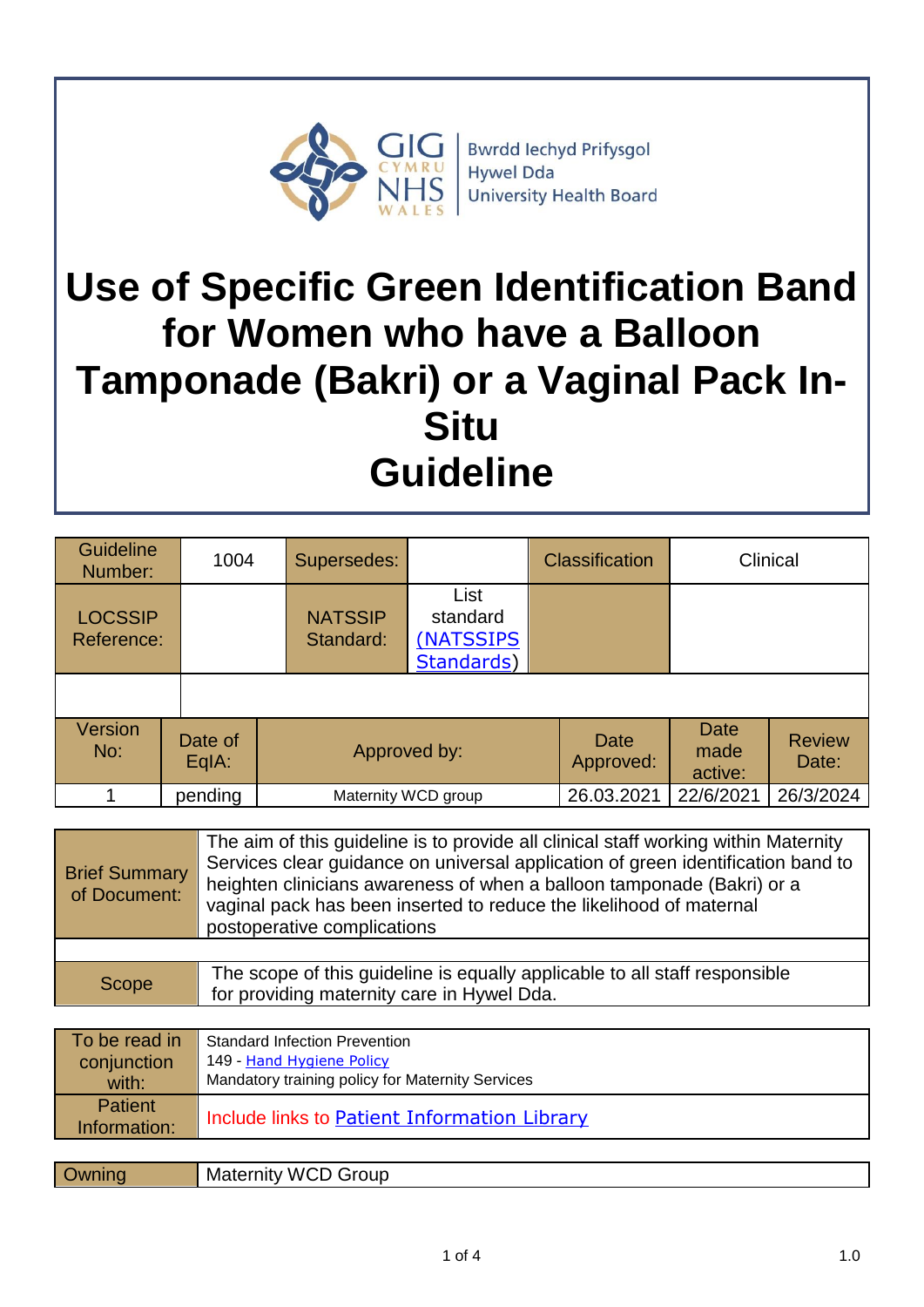

**Bwrdd lechyd Prifysgol Hywel Dda University Health Board** 

# **Use of Specific Green Identification Band for Women who have a Balloon Tamponade (Bakri) or a Vaginal Pack In-Situ Guideline**

| <b>Guideline</b><br>Number:  | 1004             | Supersedes:                 |                                                     | <b>Classification</b> |                                | Clinical               |
|------------------------------|------------------|-----------------------------|-----------------------------------------------------|-----------------------|--------------------------------|------------------------|
| <b>LOCSSIP</b><br>Reference: |                  | <b>NATSSIP</b><br>Standard: | List<br>standard<br><b>(NATSSIPS)</b><br>Standards) |                       |                                |                        |
| Version<br>No:               | Date of<br>EqIA: |                             | Approved by:                                        |                       | <b>Date</b><br>made<br>active: | <b>Review</b><br>Date: |
|                              | pending          |                             | Maternity WCD group                                 |                       | 22/6/2021                      | 26/3/2024              |

| <b>Brief Summary</b><br>of Document: | The aim of this guideline is to provide all clinical staff working within Maternity<br>Services clear guidance on universal application of green identification band to<br>heighten clinicians awareness of when a balloon tamponade (Bakri) or a<br>vaginal pack has been inserted to reduce the likelihood of maternal<br>postoperative complications |
|--------------------------------------|---------------------------------------------------------------------------------------------------------------------------------------------------------------------------------------------------------------------------------------------------------------------------------------------------------------------------------------------------------|
|                                      |                                                                                                                                                                                                                                                                                                                                                         |
| Scope                                | The scope of this guideline is equally applicable to all staff responsible<br>for providing maternity care in Hywel Dda.                                                                                                                                                                                                                                |

| To be read in                  | <b>Standard Infection Prevention</b>             |
|--------------------------------|--------------------------------------------------|
| conjunction                    | 149 - Hand Hygiene Policy                        |
| with:                          | Mandatory training policy for Maternity Services |
| <b>Patient</b><br>Information: | Include links to Patient Information Library     |

|  | . | oun<br>w<br>.<br>. <i>.</i> .<br>w<br>w |
|--|---|-----------------------------------------|
|--|---|-----------------------------------------|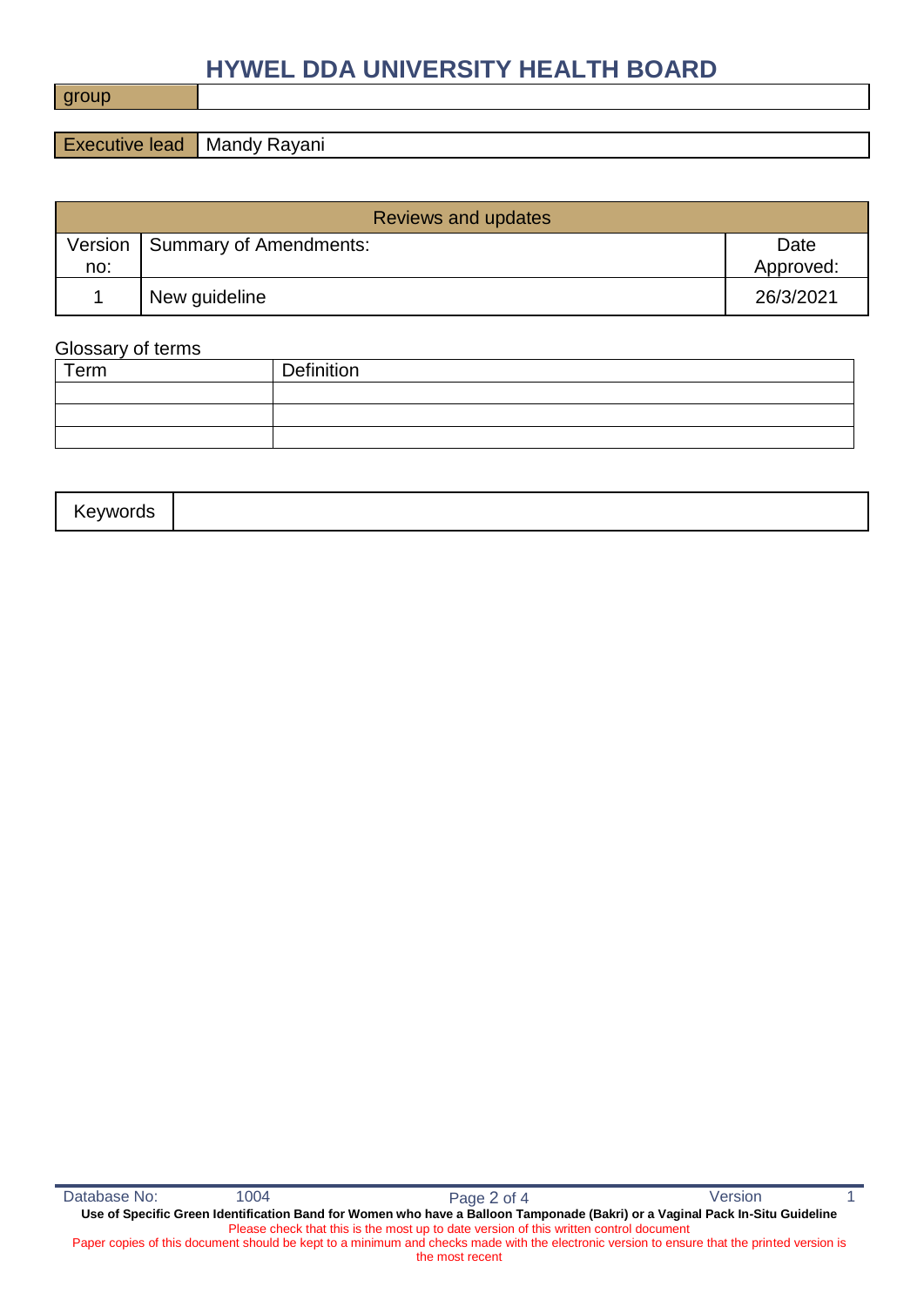# **HYWEL DDA UNIVERSITY HEALTH BOARD**

group

Executive lead | Mandy Rayani

| <b>Reviews and updates</b> |                        |                   |
|----------------------------|------------------------|-------------------|
| Version<br>no:             | Summary of Amendments: | Date<br>Approved: |
|                            | New guideline          | 26/3/2021         |

#### Glossary of terms

| Term | Definition |
|------|------------|
|      |            |
|      |            |
|      |            |
|      |            |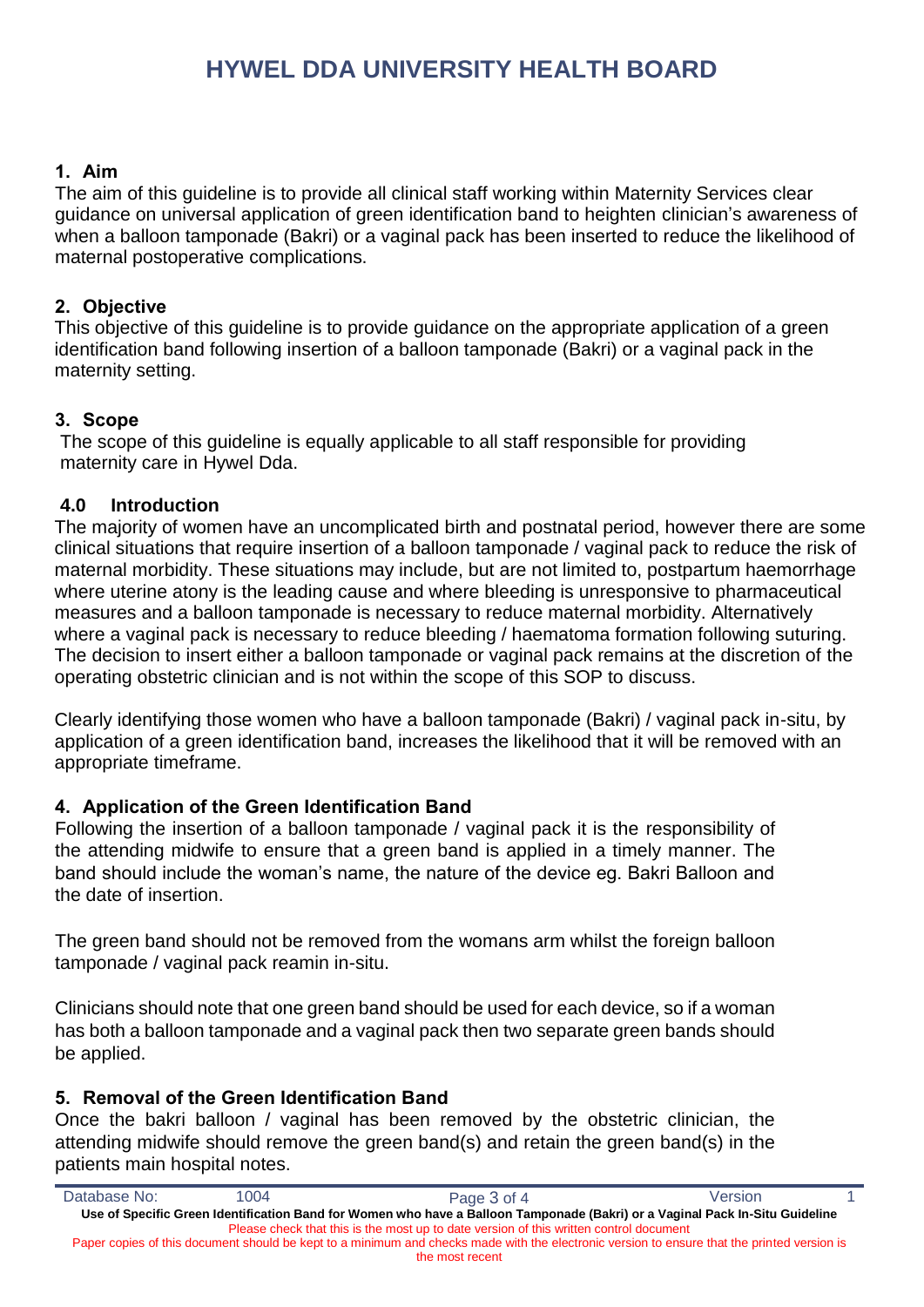# **HYWEL DDA UNIVERSITY HEALTH BOARD**

#### **1. Aim**

The aim of this guideline is to provide all clinical staff working within Maternity Services clear guidance on universal application of green identification band to heighten clinician's awareness of when a balloon tamponade (Bakri) or a vaginal pack has been inserted to reduce the likelihood of maternal postoperative complications.

### **2. Objective**

This objective of this guideline is to provide guidance on the appropriate application of a green identification band following insertion of a balloon tamponade (Bakri) or a vaginal pack in the maternity setting.

#### **3. Scope**

The scope of this guideline is equally applicable to all staff responsible for providing maternity care in Hywel Dda.

#### **4.0 Introduction**

The majority of women have an uncomplicated birth and postnatal period, however there are some clinical situations that require insertion of a balloon tamponade / vaginal pack to reduce the risk of maternal morbidity. These situations may include, but are not limited to, postpartum haemorrhage where uterine atony is the leading cause and where bleeding is unresponsive to pharmaceutical measures and a balloon tamponade is necessary to reduce maternal morbidity. Alternatively where a vaginal pack is necessary to reduce bleeding / haematoma formation following suturing. The decision to insert either a balloon tamponade or vaginal pack remains at the discretion of the operating obstetric clinician and is not within the scope of this SOP to discuss.

Clearly identifying those women who have a balloon tamponade (Bakri) / vaginal pack in-situ, by application of a green identification band, increases the likelihood that it will be removed with an appropriate timeframe.

## **4. Application of the Green Identification Band**

Following the insertion of a balloon tamponade / vaginal pack it is the responsibility of the attending midwife to ensure that a green band is applied in a timely manner. The band should include the woman's name, the nature of the device eg. Bakri Balloon and the date of insertion.

The green band should not be removed from the womans arm whilst the foreign balloon tamponade / vaginal pack reamin in-situ.

Clinicians should note that one green band should be used for each device, so if a woman has both a balloon tamponade and a vaginal pack then two separate green bands should be applied.

## **5. Removal of the Green Identification Band**

Once the bakri balloon / vaginal has been removed by the obstetric clinician, the attending midwife should remove the green band(s) and retain the green band(s) in the patients main hospital notes.